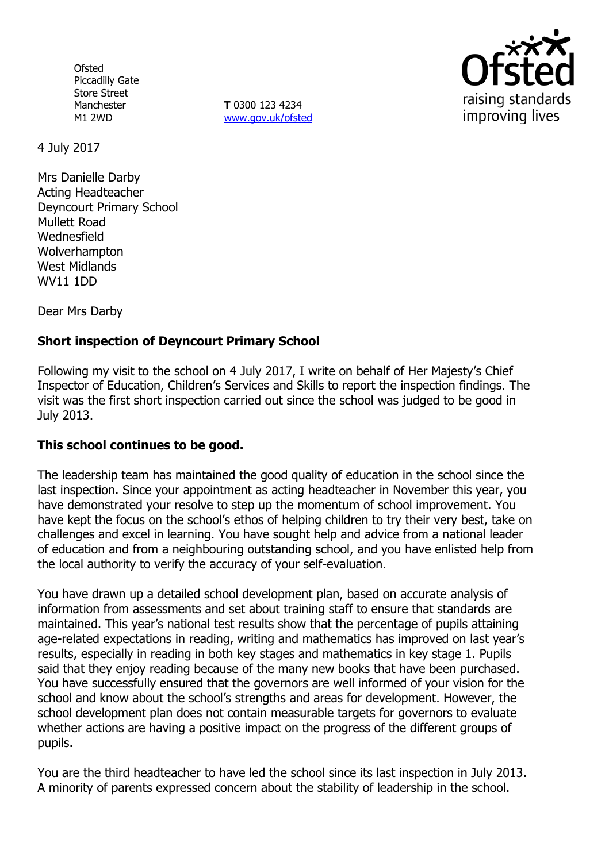**Ofsted** Piccadilly Gate Store Street Manchester M1 2WD

**T** 0300 123 4234 www.gov.uk/ofsted



4 July 2017

Mrs Danielle Darby Acting Headteacher Deyncourt Primary School Mullett Road **Wednesfield** Wolverhampton West Midlands WV11 1DD

Dear Mrs Darby

# **Short inspection of Deyncourt Primary School**

Following my visit to the school on 4 July 2017, I write on behalf of Her Majesty's Chief Inspector of Education, Children's Services and Skills to report the inspection findings. The visit was the first short inspection carried out since the school was judged to be good in July 2013.

# **This school continues to be good.**

The leadership team has maintained the good quality of education in the school since the last inspection. Since your appointment as acting headteacher in November this year, you have demonstrated your resolve to step up the momentum of school improvement. You have kept the focus on the school's ethos of helping children to try their very best, take on challenges and excel in learning. You have sought help and advice from a national leader of education and from a neighbouring outstanding school, and you have enlisted help from the local authority to verify the accuracy of your self-evaluation.

You have drawn up a detailed school development plan, based on accurate analysis of information from assessments and set about training staff to ensure that standards are maintained. This year's national test results show that the percentage of pupils attaining age-related expectations in reading, writing and mathematics has improved on last year's results, especially in reading in both key stages and mathematics in key stage 1. Pupils said that they enjoy reading because of the many new books that have been purchased. You have successfully ensured that the governors are well informed of your vision for the school and know about the school's strengths and areas for development. However, the school development plan does not contain measurable targets for governors to evaluate whether actions are having a positive impact on the progress of the different groups of pupils.

You are the third headteacher to have led the school since its last inspection in July 2013. A minority of parents expressed concern about the stability of leadership in the school.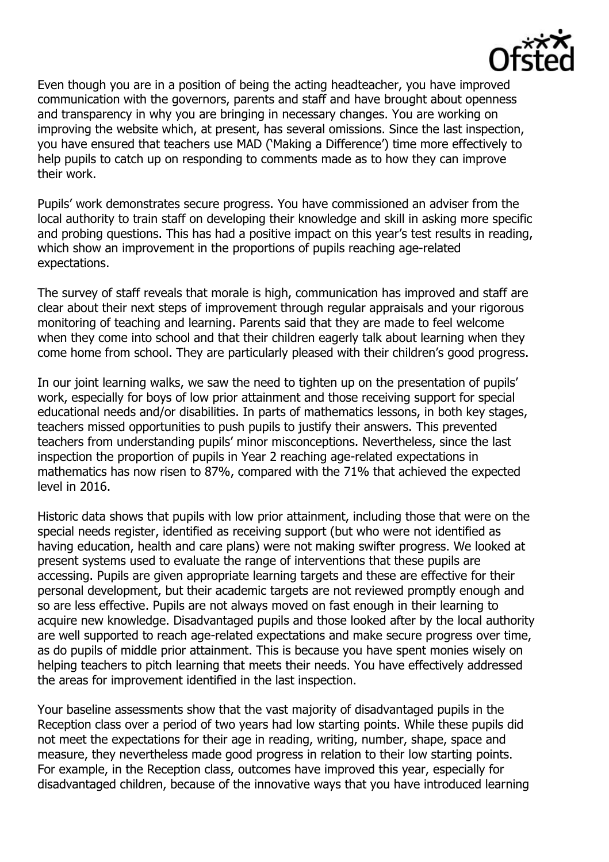

Even though you are in a position of being the acting headteacher, you have improved communication with the governors, parents and staff and have brought about openness and transparency in why you are bringing in necessary changes. You are working on improving the website which, at present, has several omissions. Since the last inspection, you have ensured that teachers use MAD ('Making a Difference') time more effectively to help pupils to catch up on responding to comments made as to how they can improve their work.

Pupils' work demonstrates secure progress. You have commissioned an adviser from the local authority to train staff on developing their knowledge and skill in asking more specific and probing questions. This has had a positive impact on this year's test results in reading, which show an improvement in the proportions of pupils reaching age-related expectations.

The survey of staff reveals that morale is high, communication has improved and staff are clear about their next steps of improvement through regular appraisals and your rigorous monitoring of teaching and learning. Parents said that they are made to feel welcome when they come into school and that their children eagerly talk about learning when they come home from school. They are particularly pleased with their children's good progress.

In our joint learning walks, we saw the need to tighten up on the presentation of pupils' work, especially for boys of low prior attainment and those receiving support for special educational needs and/or disabilities. In parts of mathematics lessons, in both key stages, teachers missed opportunities to push pupils to justify their answers. This prevented teachers from understanding pupils' minor misconceptions. Nevertheless, since the last inspection the proportion of pupils in Year 2 reaching age-related expectations in mathematics has now risen to 87%, compared with the 71% that achieved the expected level in 2016.

Historic data shows that pupils with low prior attainment, including those that were on the special needs register, identified as receiving support (but who were not identified as having education, health and care plans) were not making swifter progress. We looked at present systems used to evaluate the range of interventions that these pupils are accessing. Pupils are given appropriate learning targets and these are effective for their personal development, but their academic targets are not reviewed promptly enough and so are less effective. Pupils are not always moved on fast enough in their learning to acquire new knowledge. Disadvantaged pupils and those looked after by the local authority are well supported to reach age-related expectations and make secure progress over time, as do pupils of middle prior attainment. This is because you have spent monies wisely on helping teachers to pitch learning that meets their needs. You have effectively addressed the areas for improvement identified in the last inspection.

Your baseline assessments show that the vast majority of disadvantaged pupils in the Reception class over a period of two years had low starting points. While these pupils did not meet the expectations for their age in reading, writing, number, shape, space and measure, they nevertheless made good progress in relation to their low starting points. For example, in the Reception class, outcomes have improved this year, especially for disadvantaged children, because of the innovative ways that you have introduced learning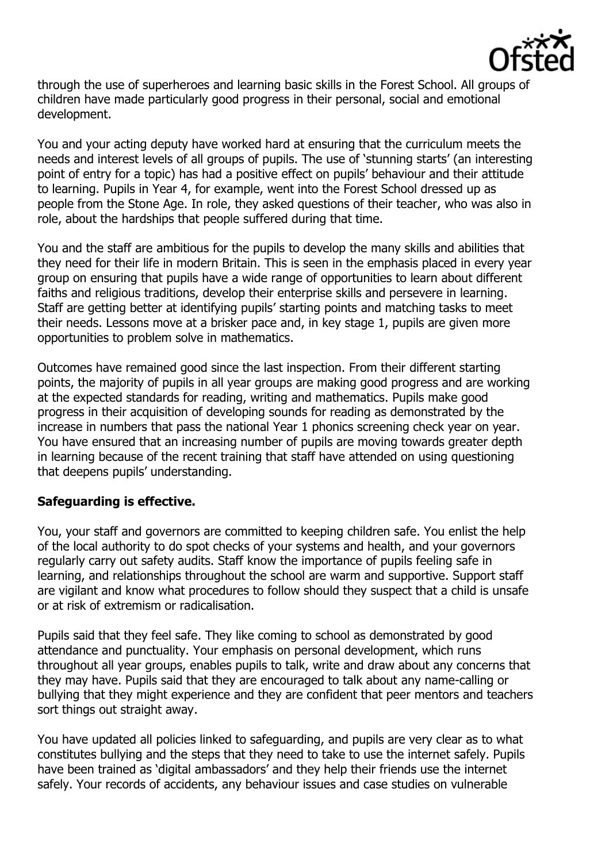

through the use of superheroes and learning basic skills in the Forest School. All groups of children have made particularly good progress in their personal, social and emotional development.

You and your acting deputy have worked hard at ensuring that the curriculum meets the needs and interest levels of all groups of pupils. The use of 'stunning starts' (an interesting point of entry for a topic) has had a positive effect on pupils' behaviour and their attitude to learning. Pupils in Year 4, for example, went into the Forest School dressed up as people from the Stone Age. In role, they asked questions of their teacher, who was also in role, about the hardships that people suffered during that time.

You and the staff are ambitious for the pupils to develop the many skills and abilities that they need for their life in modern Britain. This is seen in the emphasis placed in every year group on ensuring that pupils have a wide range of opportunities to learn about different faiths and religious traditions, develop their enterprise skills and persevere in learning. Staff are getting better at identifying pupils' starting points and matching tasks to meet their needs. Lessons move at a brisker pace and, in key stage 1, pupils are given more opportunities to problem solve in mathematics.

Outcomes have remained good since the last inspection. From their different starting points, the majority of pupils in all year groups are making good progress and are working at the expected standards for reading, writing and mathematics. Pupils make good progress in their acquisition of developing sounds for reading as demonstrated by the increase in numbers that pass the national Year 1 phonics screening check year on year. You have ensured that an increasing number of pupils are moving towards greater depth in learning because of the recent training that staff have attended on using questioning that deepens pupils' understanding.

# **Safeguarding is effective.**

You, your staff and governors are committed to keeping children safe. You enlist the help of the local authority to do spot checks of your systems and health, and your governors regularly carry out safety audits. Staff know the importance of pupils feeling safe in learning, and relationships throughout the school are warm and supportive. Support staff are vigilant and know what procedures to follow should they suspect that a child is unsafe or at risk of extremism or radicalisation.

Pupils said that they feel safe. They like coming to school as demonstrated by good attendance and punctuality. Your emphasis on personal development, which runs throughout all year groups, enables pupils to talk, write and draw about any concerns that they may have. Pupils said that they are encouraged to talk about any name-calling or bullying that they might experience and they are confident that peer mentors and teachers sort things out straight away.

You have updated all policies linked to safeguarding, and pupils are very clear as to what constitutes bullying and the steps that they need to take to use the internet safely. Pupils have been trained as 'digital ambassadors' and they help their friends use the internet safely. Your records of accidents, any behaviour issues and case studies on vulnerable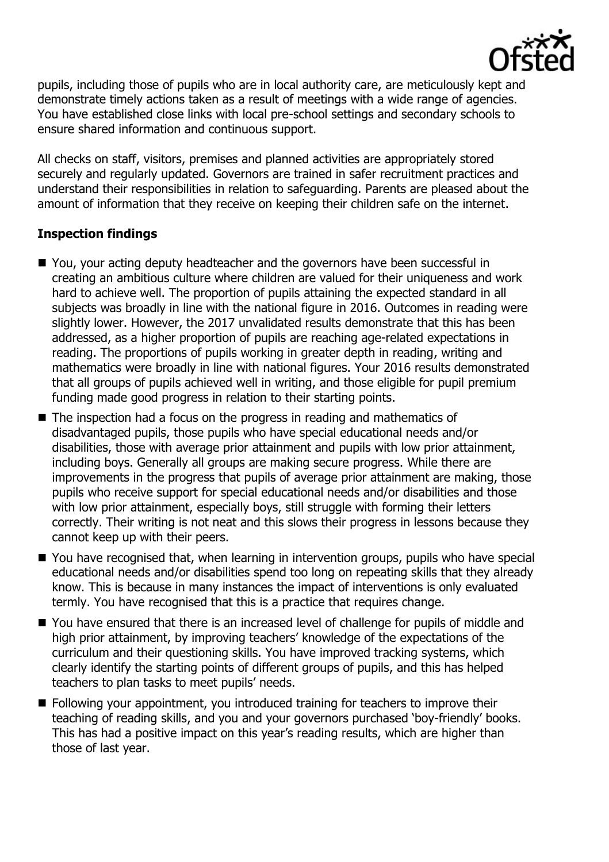

pupils, including those of pupils who are in local authority care, are meticulously kept and demonstrate timely actions taken as a result of meetings with a wide range of agencies. You have established close links with local pre-school settings and secondary schools to ensure shared information and continuous support.

All checks on staff, visitors, premises and planned activities are appropriately stored securely and regularly updated. Governors are trained in safer recruitment practices and understand their responsibilities in relation to safeguarding. Parents are pleased about the amount of information that they receive on keeping their children safe on the internet.

# **Inspection findings**

- You, your acting deputy headteacher and the governors have been successful in creating an ambitious culture where children are valued for their uniqueness and work hard to achieve well. The proportion of pupils attaining the expected standard in all subjects was broadly in line with the national figure in 2016. Outcomes in reading were slightly lower. However, the 2017 unvalidated results demonstrate that this has been addressed, as a higher proportion of pupils are reaching age-related expectations in reading. The proportions of pupils working in greater depth in reading, writing and mathematics were broadly in line with national figures. Your 2016 results demonstrated that all groups of pupils achieved well in writing, and those eligible for pupil premium funding made good progress in relation to their starting points.
- The inspection had a focus on the progress in reading and mathematics of disadvantaged pupils, those pupils who have special educational needs and/or disabilities, those with average prior attainment and pupils with low prior attainment, including boys. Generally all groups are making secure progress. While there are improvements in the progress that pupils of average prior attainment are making, those pupils who receive support for special educational needs and/or disabilities and those with low prior attainment, especially boys, still struggle with forming their letters correctly. Their writing is not neat and this slows their progress in lessons because they cannot keep up with their peers.
- You have recognised that, when learning in intervention groups, pupils who have special educational needs and/or disabilities spend too long on repeating skills that they already know. This is because in many instances the impact of interventions is only evaluated termly. You have recognised that this is a practice that requires change.
- You have ensured that there is an increased level of challenge for pupils of middle and high prior attainment, by improving teachers' knowledge of the expectations of the curriculum and their questioning skills. You have improved tracking systems, which clearly identify the starting points of different groups of pupils, and this has helped teachers to plan tasks to meet pupils' needs.
- Following your appointment, you introduced training for teachers to improve their teaching of reading skills, and you and your governors purchased 'boy-friendly' books. This has had a positive impact on this year's reading results, which are higher than those of last year.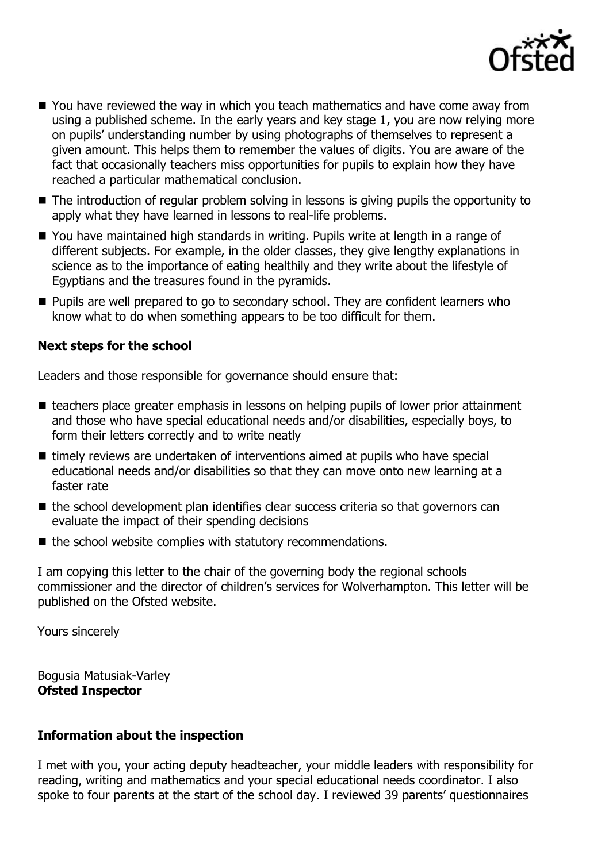

- You have reviewed the way in which you teach mathematics and have come away from using a published scheme. In the early years and key stage 1, you are now relying more on pupils' understanding number by using photographs of themselves to represent a given amount. This helps them to remember the values of digits. You are aware of the fact that occasionally teachers miss opportunities for pupils to explain how they have reached a particular mathematical conclusion.
- The introduction of regular problem solving in lessons is giving pupils the opportunity to apply what they have learned in lessons to real-life problems.
- You have maintained high standards in writing. Pupils write at length in a range of different subjects. For example, in the older classes, they give lengthy explanations in science as to the importance of eating healthily and they write about the lifestyle of Egyptians and the treasures found in the pyramids.
- **Pupils are well prepared to go to secondary school. They are confident learners who** know what to do when something appears to be too difficult for them.

# **Next steps for the school**

Leaders and those responsible for governance should ensure that:

- teachers place greater emphasis in lessons on helping pupils of lower prior attainment and those who have special educational needs and/or disabilities, especially boys, to form their letters correctly and to write neatly
- timely reviews are undertaken of interventions aimed at pupils who have special educational needs and/or disabilities so that they can move onto new learning at a faster rate
- $\blacksquare$  the school development plan identifies clear success criteria so that governors can evaluate the impact of their spending decisions
- $\blacksquare$  the school website complies with statutory recommendations.

I am copying this letter to the chair of the governing body the regional schools commissioner and the director of children's services for Wolverhampton. This letter will be published on the Ofsted website.

Yours sincerely

Bogusia Matusiak-Varley **Ofsted Inspector**

# **Information about the inspection**

I met with you, your acting deputy headteacher, your middle leaders with responsibility for reading, writing and mathematics and your special educational needs coordinator. I also spoke to four parents at the start of the school day. I reviewed 39 parents' questionnaires